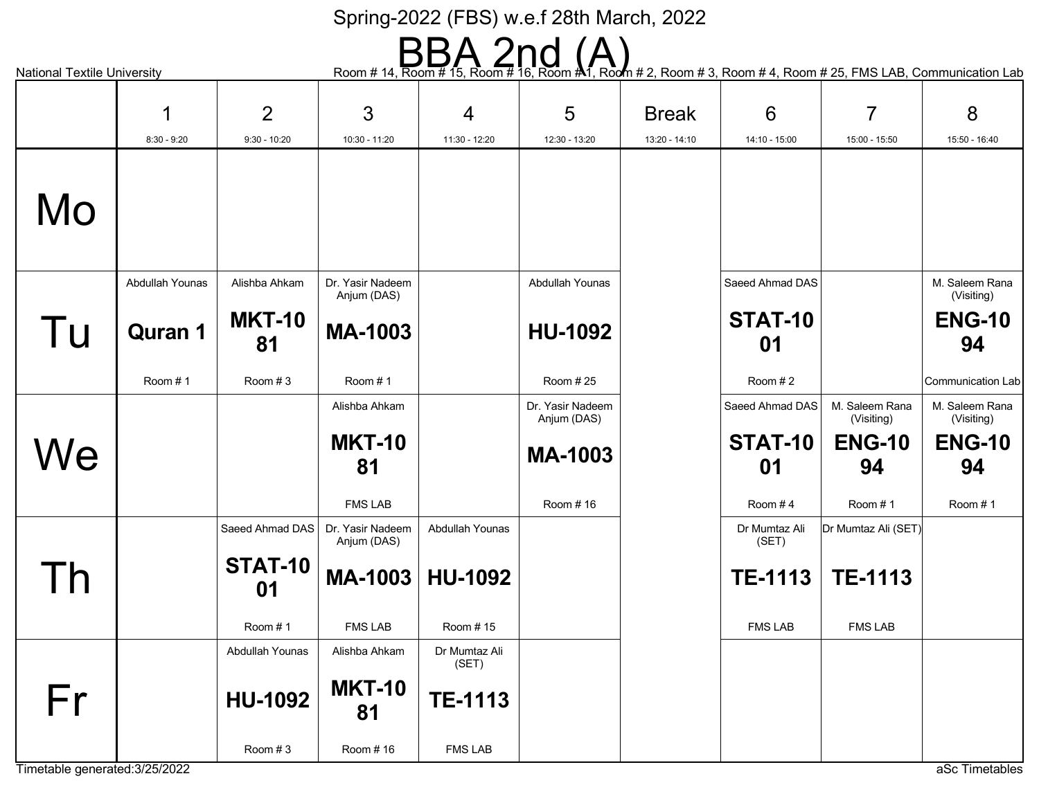National Textile University **Referent to the Com # 14, Room # 15, Room # 16, Room # 1, Room # 2, Room # 3, Room # 4, Room # 25, FMS LAB, Communication Lab** 

|                                | 1               | $\overline{2}$      | 3                               | $\overline{4}$         | 5                               | <b>Break</b>  | $6\phantom{1}6$        | $\overline{7}$               | 8                            |
|--------------------------------|-----------------|---------------------|---------------------------------|------------------------|---------------------------------|---------------|------------------------|------------------------------|------------------------------|
|                                | $8:30 - 9:20$   | $9:30 - 10:20$      | 10:30 - 11:20                   | 11:30 - 12:20          | 12:30 - 13:20                   | 13:20 - 14:10 | 14:10 - 15:00          | 15:00 - 15:50                | 15:50 - 16:40                |
| Mo                             |                 |                     |                                 |                        |                                 |               |                        |                              |                              |
|                                | Abdullah Younas | Alishba Ahkam       | Dr. Yasir Nadeem<br>Anjum (DAS) |                        | Abdullah Younas                 |               | Saeed Ahmad DAS        |                              | M. Saleem Rana<br>(Visiting) |
| Tu                             | <b>Quran 1</b>  | <b>MKT-10</b><br>81 | <b>MA-1003</b>                  |                        | <b>HU-1092</b>                  |               | STAT-10<br>01          |                              | <b>ENG-10</b><br>94          |
|                                | Room #1         | Room #3             | Room #1                         |                        | Room #25                        |               | Room #2                |                              | Communication Lab            |
|                                |                 |                     | Alishba Ahkam                   |                        | Dr. Yasir Nadeem<br>Anjum (DAS) |               | Saeed Ahmad DAS        | M. Saleem Rana<br>(Visiting) | M. Saleem Rana<br>(Visiting) |
| We                             |                 |                     | <b>MKT-10</b>                   |                        | <b>MA-1003</b>                  |               | STAT-10                | <b>ENG-10</b>                | <b>ENG-10</b>                |
|                                |                 |                     | 81                              |                        |                                 |               | 01                     | 94                           | 94                           |
|                                |                 |                     | <b>FMS LAB</b>                  |                        | Room #16                        |               | Room #4                | Room #1                      | Room #1                      |
|                                |                 | Saeed Ahmad DAS     | Dr. Yasir Nadeem<br>Anjum (DAS) | Abdullah Younas        |                                 |               | Dr Mumtaz Ali<br>(SET) | Dr Mumtaz Ali (SET)          |                              |
| Γh                             |                 | STAT-10<br>01       | MA-1003                         | <b>HU-1092</b>         |                                 |               | <b>TE-1113</b>         | <b>TE-1113</b>               |                              |
|                                |                 | Room #1             | <b>FMS LAB</b>                  | Room #15               |                                 |               | <b>FMS LAB</b>         | <b>FMS LAB</b>               |                              |
|                                |                 | Abdullah Younas     | Alishba Ahkam                   | Dr Mumtaz Ali<br>(SET) |                                 |               |                        |                              |                              |
| Fr                             |                 | <b>HU-1092</b>      | <b>MKT-10</b><br>81             | <b>TE-1113</b>         |                                 |               |                        |                              |                              |
| Timetable generated: 3/25/2022 |                 | Room #3             | Room #16                        | <b>FMS LAB</b>         |                                 |               |                        |                              | aSc Timetables               |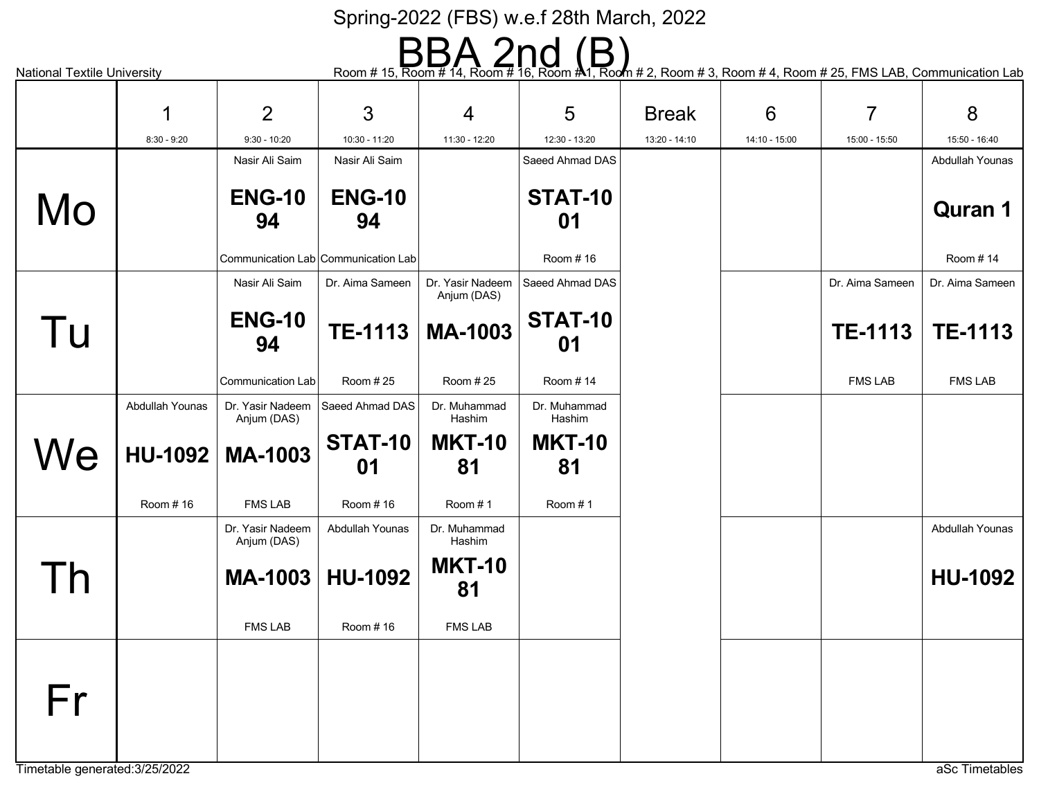National Textile University **Referent A 2000** Room # 15, Room # 14, Room # 16, Room # 1, Room # 2, Room # 3, Room # 4, Room # 25, FMS LAB, Communication Lab

|                                | 1               | 2                               | 3                                   | $\overline{4}$                  | 5                      | <b>Break</b>  | $6\phantom{1}6$ | $\overline{7}$  | 8               |
|--------------------------------|-----------------|---------------------------------|-------------------------------------|---------------------------------|------------------------|---------------|-----------------|-----------------|-----------------|
|                                | $8:30 - 9:20$   | $9:30 - 10:20$                  | 10:30 - 11:20                       | 11:30 - 12:20                   | 12:30 - 13:20          | 13:20 - 14:10 | 14:10 - 15:00   | 15:00 - 15:50   | 15:50 - 16:40   |
|                                |                 | Nasir Ali Saim                  | Nasir Ali Saim                      |                                 | Saeed Ahmad DAS        |               |                 |                 | Abdullah Younas |
|                                |                 | <b>ENG-10</b>                   | <b>ENG-10</b>                       |                                 | STAT-10                |               |                 |                 |                 |
| Mo                             |                 | 94                              | 94                                  |                                 | 01                     |               |                 |                 | <b>Quran 1</b>  |
|                                |                 |                                 |                                     |                                 |                        |               |                 |                 |                 |
|                                |                 |                                 | Communication Lab Communication Lab |                                 | Room #16               |               |                 |                 | Room #14        |
|                                |                 | Nasir Ali Saim                  | Dr. Aima Sameen                     | Dr. Yasir Nadeem<br>Anjum (DAS) | Saeed Ahmad DAS        |               |                 | Dr. Aima Sameen | Dr. Aima Sameen |
|                                |                 | <b>ENG-10</b>                   |                                     |                                 | STAT-10                |               |                 |                 |                 |
| Tu                             |                 | 94                              | <b>TE-1113</b>                      | <b>MA-1003</b>                  | 01                     |               |                 | <b>TE-1113</b>  | <b>TE-1113</b>  |
|                                |                 |                                 |                                     |                                 |                        |               |                 |                 |                 |
|                                |                 | Communication Lab               | Room #25                            | Room #25                        | Room #14               |               |                 | <b>FMS LAB</b>  | <b>FMS LAB</b>  |
|                                | Abdullah Younas | Dr. Yasir Nadeem<br>Anjum (DAS) | Saeed Ahmad DAS                     | Dr. Muhammad<br>Hashim          | Dr. Muhammad<br>Hashim |               |                 |                 |                 |
|                                |                 |                                 | STAT-10                             | <b>MKT-10</b>                   | <b>MKT-10</b>          |               |                 |                 |                 |
| We                             | HU-1092         | <b>MA-1003</b>                  | 01                                  | 81                              | 81                     |               |                 |                 |                 |
|                                |                 |                                 |                                     |                                 |                        |               |                 |                 |                 |
|                                | Room #16        | <b>FMS LAB</b>                  | Room #16                            | Room #1                         | Room #1                |               |                 |                 |                 |
|                                |                 | Dr. Yasir Nadeem<br>Anjum (DAS) | Abdullah Younas                     | Dr. Muhammad<br>Hashim          |                        |               |                 |                 | Abdullah Younas |
|                                |                 |                                 |                                     | <b>MKT-10</b>                   |                        |               |                 |                 |                 |
|                                |                 | <b>MA-1003</b>                  | <b>HU-1092</b>                      | 81                              |                        |               |                 |                 | <b>HU-1092</b>  |
|                                |                 |                                 |                                     |                                 |                        |               |                 |                 |                 |
|                                |                 | <b>FMS LAB</b>                  | Room #16                            | <b>FMS LAB</b>                  |                        |               |                 |                 |                 |
|                                |                 |                                 |                                     |                                 |                        |               |                 |                 |                 |
|                                |                 |                                 |                                     |                                 |                        |               |                 |                 |                 |
| Fr                             |                 |                                 |                                     |                                 |                        |               |                 |                 |                 |
|                                |                 |                                 |                                     |                                 |                        |               |                 |                 |                 |
| Timetable generated: 3/25/2022 |                 |                                 |                                     |                                 |                        |               |                 |                 | aSc Timetables  |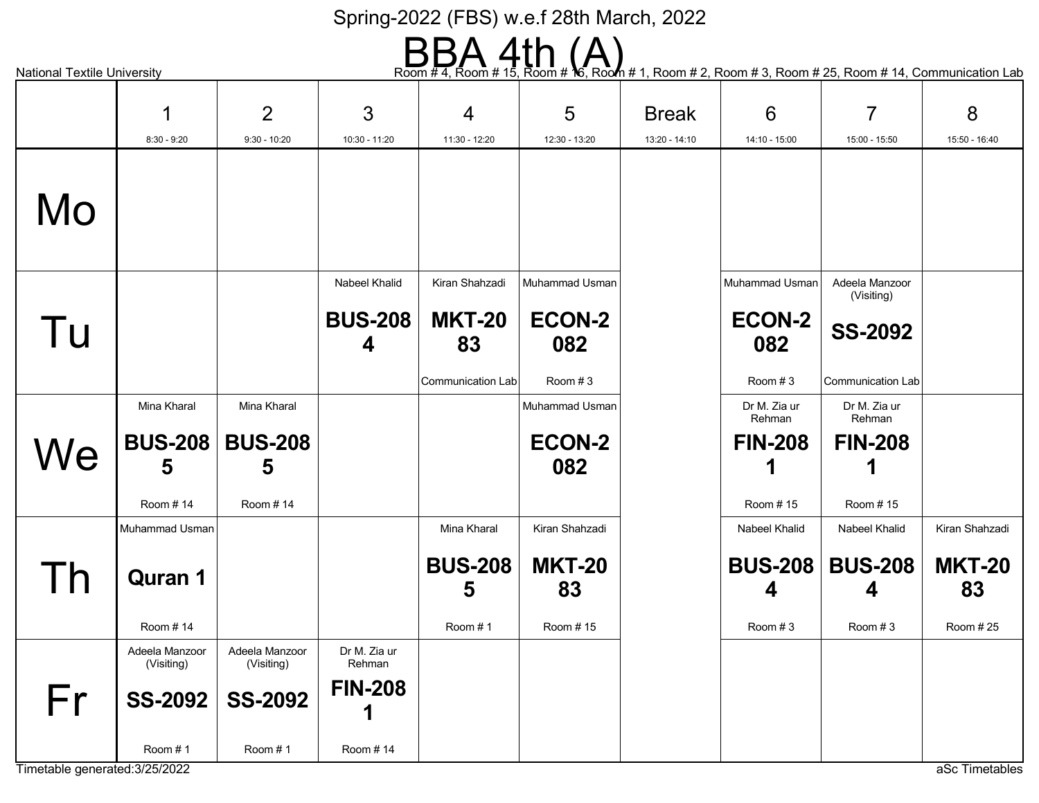# $\text{Room # 4, Room } \text{Hom} \text{ with } \text{Hom} \text{ with } \text{Hom} \text{ with } \text{Hom} \text{ with } \text{Hom} \text{ with } \text{Hom} \text{ with } \text{Hom} \text{ with } \text{Hom} \text{ with } \text{Hom} \text{ with } \text{Hom} \text{ with } \text{Hom} \text{ with } \text{Hom} \text{ with } \text{Hom} \text{ with } \text{Hom} \text{ with } \text{Hom} \text{ with } \text{Hom} \text{ with } \text{Hom} \text{ with } \text{Hom} \text{ with } \text{Hom} \text{ with } \text{Hom} \text{ with } \text{Hom} \text{ with$

|                                |                              | $\overline{2}$               | 3                                    | 4                                                          | 5                                                   | <b>Break</b>  | $6\phantom{1}6$                                   | $\overline{7}$                                                             | 8                   |
|--------------------------------|------------------------------|------------------------------|--------------------------------------|------------------------------------------------------------|-----------------------------------------------------|---------------|---------------------------------------------------|----------------------------------------------------------------------------|---------------------|
|                                | $8:30 - 9:20$                | $9:30 - 10:20$               | 10:30 - 11:20                        | 11:30 - 12:20                                              | 12:30 - 13:20                                       | 13:20 - 14:10 | 14:10 - 15:00                                     | 15:00 - 15:50                                                              | 15:50 - 16:40       |
| Mo                             |                              |                              |                                      |                                                            |                                                     |               |                                                   |                                                                            |                     |
| Tu                             |                              |                              | Nabeel Khalid<br><b>BUS-208</b><br>4 | Kiran Shahzadi<br><b>MKT-20</b><br>83<br>Communication Lab | Muhammad Usman<br><b>ECON-2</b><br>082<br>Room $#3$ |               | Muhammad Usman<br><b>ECON-2</b><br>082<br>Room #3 | Adeela Manzoor<br>(Visiting)<br><b>SS-2092</b><br><b>Communication Lab</b> |                     |
|                                | Mina Kharal                  | Mina Kharal                  |                                      |                                                            | Muhammad Usman                                      |               | Dr M. Zia ur<br>Rehman                            | Dr M. Zia ur<br>Rehman                                                     |                     |
| We                             | <b>BUS-208</b><br>5          | <b>BUS-208</b><br>5          |                                      |                                                            | <b>ECON-2</b><br>082                                |               | <b>FIN-208</b>                                    | <b>FIN-208</b>                                                             |                     |
|                                | Room #14                     | Room #14                     |                                      |                                                            |                                                     |               | Room #15                                          | Room #15                                                                   |                     |
|                                | Muhammad Usman               |                              |                                      | Mina Kharal                                                | Kiran Shahzadi                                      |               | Nabeel Khalid                                     | <b>Nabeel Khalid</b>                                                       | Kiran Shahzadi      |
|                                | <b>Quran 1</b>               |                              |                                      | <b>BUS-208</b><br>5                                        | <b>MKT-20</b><br>83                                 |               | <b>BUS-208</b><br>4                               | <b>BUS-208</b><br>4                                                        | <b>MKT-20</b><br>83 |
|                                | Room #14                     |                              |                                      | Room #1                                                    | Room #15                                            |               | Room #3                                           | Room #3                                                                    | Room #25            |
|                                | Adeela Manzoor<br>(Visiting) | Adeela Manzoor<br>(Visiting) | Dr M. Zia ur<br>Rehman               |                                                            |                                                     |               |                                                   |                                                                            |                     |
| Fr                             |                              | SS-2092   SS-2092            | <b>FIN-208</b>                       |                                                            |                                                     |               |                                                   |                                                                            |                     |
| Timetable generated: 3/25/2022 | Room #1                      | Room #1                      | Room #14                             |                                                            |                                                     |               |                                                   |                                                                            | aSc Timetables      |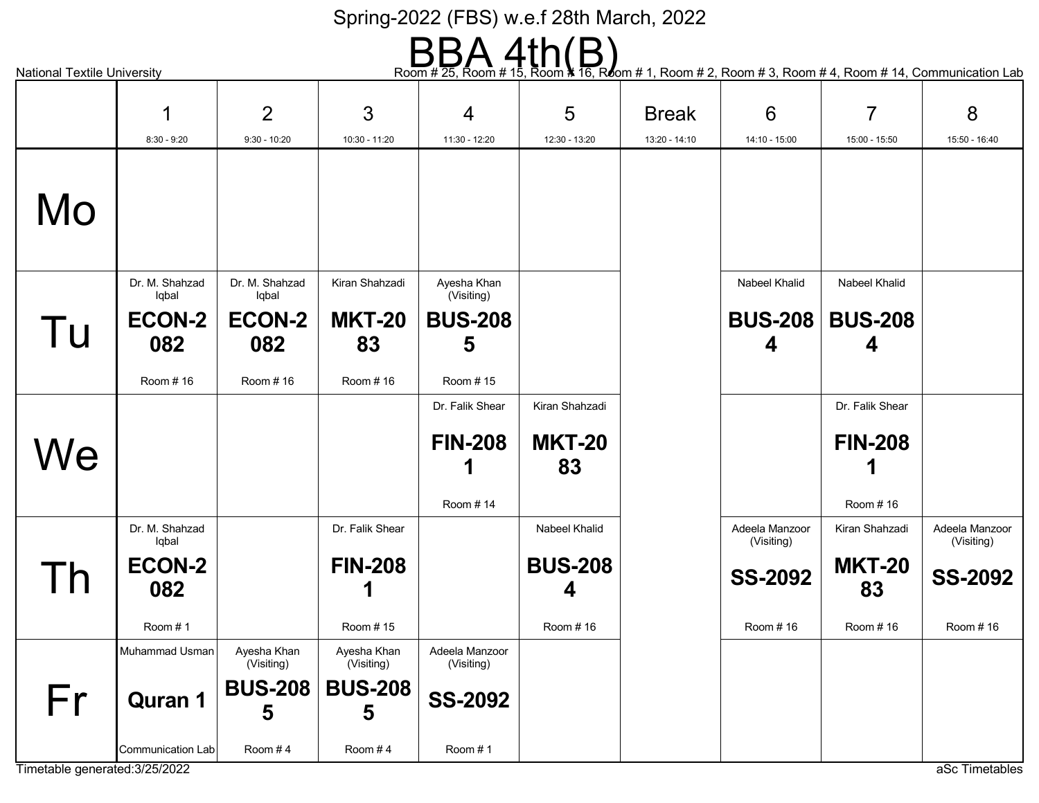# Room # 25, Room # 15, Room **\*** 16, Room # 1, Room # 2, Room # 3, Room # 4, Room # 14, Communication Lab

|                                | 1                       | $\overline{2}$            | 3                         | 4                            | 5              | <b>Break</b>  | $6\phantom{1}6$              | $\overline{7}$  | 8                            |
|--------------------------------|-------------------------|---------------------------|---------------------------|------------------------------|----------------|---------------|------------------------------|-----------------|------------------------------|
|                                | $8:30 - 9:20$           | $9:30 - 10:20$            | 10:30 - 11:20             | 11:30 - 12:20                | 12:30 - 13:20  | 13:20 - 14:10 | $14:10 - 15:00$              | 15:00 - 15:50   | 15:50 - 16:40                |
|                                |                         |                           |                           |                              |                |               |                              |                 |                              |
| Mo                             |                         |                           |                           |                              |                |               |                              |                 |                              |
|                                | Dr. M. Shahzad<br>Iqbal | Dr. M. Shahzad<br>Iqbal   | Kiran Shahzadi            | Ayesha Khan<br>(Visiting)    |                |               | Nabeel Khalid                | Nabeel Khalid   |                              |
|                                | <b>ECON-2</b>           | <b>ECON-2</b>             | <b>MKT-20</b>             | <b>BUS-208</b>               |                |               | <b>BUS-208</b>               | <b>BUS-208</b>  |                              |
| Tu                             | 082                     | 082                       | 83                        | 5                            |                |               | 4                            | 4               |                              |
|                                | Room #16                | Room #16                  | Room #16                  | Room #15                     |                |               |                              |                 |                              |
|                                |                         |                           |                           | Dr. Falik Shear              | Kiran Shahzadi |               |                              | Dr. Falik Shear |                              |
|                                |                         |                           |                           |                              |                |               |                              |                 |                              |
| We                             |                         |                           |                           | <b>FIN-208</b>               | <b>MKT-20</b>  |               |                              | <b>FIN-208</b>  |                              |
|                                |                         |                           |                           |                              | 83             |               |                              |                 |                              |
|                                |                         |                           |                           | Room #14                     |                |               |                              | Room #16        |                              |
|                                | Dr. M. Shahzad<br>Iqbal |                           | Dr. Falik Shear           |                              | Nabeel Khalid  |               | Adeela Manzoor<br>(Visiting) | Kiran Shahzadi  | Adeela Manzoor<br>(Visiting) |
|                                | <b>ECON-2</b>           |                           | <b>FIN-208</b>            |                              | <b>BUS-208</b> |               |                              | <b>MKT-20</b>   |                              |
| Гh                             | 082                     |                           |                           |                              | 4              |               | <b>SS-2092</b>               | 83              | <b>SS-2092</b>               |
|                                | Room #1                 |                           | Room #15                  |                              | Room #16       |               | Room #16                     | Room #16        | Room #16                     |
|                                | Muhammad Usman          | Ayesha Khan<br>(Visiting) | Ayesha Khan<br>(Visiting) | Adeela Manzoor<br>(Visiting) |                |               |                              |                 |                              |
|                                |                         | <b>BUS-208</b>            | <b>BUS-208</b>            |                              |                |               |                              |                 |                              |
| Fr                             | <b>Quran 1</b>          | 5                         | 5                         | <b>SS-2092</b>               |                |               |                              |                 |                              |
|                                | Communication Lab       | Room #4                   | Room #4                   | Room #1                      |                |               |                              |                 |                              |
| Timetable generated: 3/25/2022 |                         |                           |                           |                              |                |               |                              |                 | aSc Timetables               |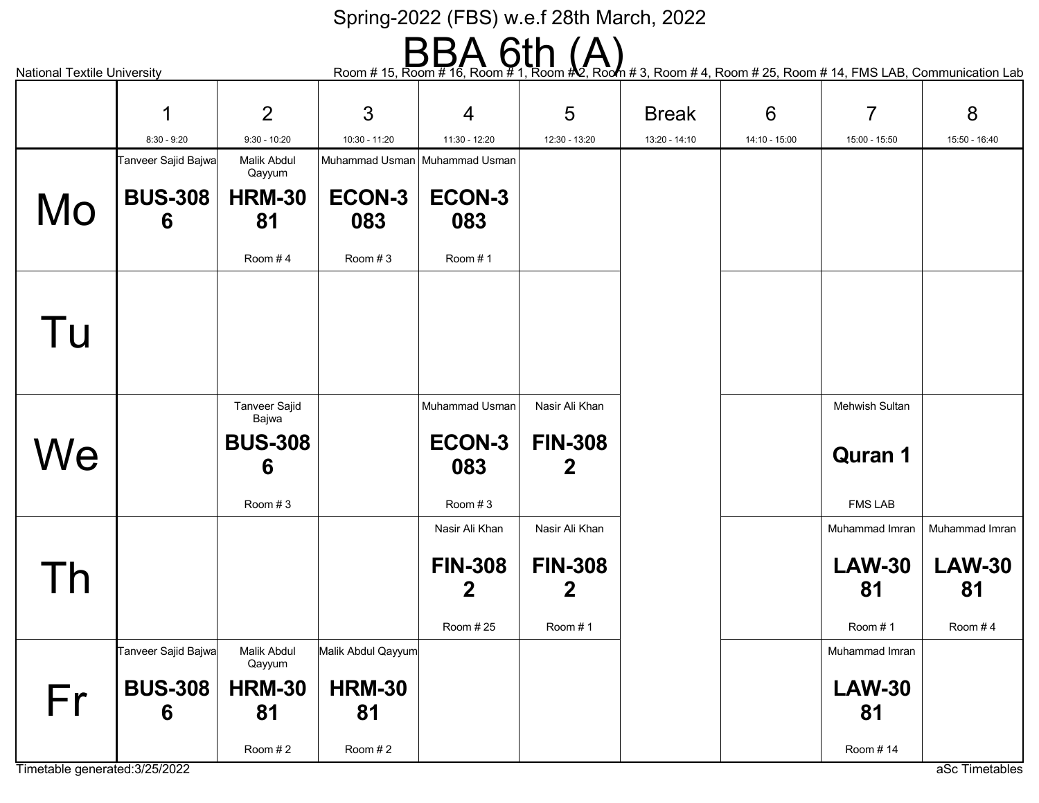National Textile University **Example 20** Noom # 15, Room # 16, Room # 1, Room # 2, Room # 4, Room # 25, Room # 14, FMS LAB, Communication Lab

|    | 1                   | 2                    | 3                               | $\overline{4}$ | 5              | <b>Break</b>  | 6             | $\overline{7}$        | 8              |
|----|---------------------|----------------------|---------------------------------|----------------|----------------|---------------|---------------|-----------------------|----------------|
|    | $8:30 - 9:20$       | $9:30 - 10:20$       | 10:30 - 11:20                   | 11:30 - 12:20  | 12:30 - 13:20  | 13:20 - 14:10 | 14:10 - 15:00 | 15:00 - 15:50         | 15:50 - 16:40  |
|    | Tanveer Sajid Bajwa | <b>Malik Abdul</b>   | Muhammad Usman   Muhammad Usman |                |                |               |               |                       |                |
|    |                     | Qayyum               |                                 |                |                |               |               |                       |                |
| Mo | <b>BUS-308</b>      | <b>HRM-30</b>        | ECON-3                          | ECON-3         |                |               |               |                       |                |
|    | 6                   | 81                   | 083                             | 083            |                |               |               |                       |                |
|    |                     | Room #4              | Room #3                         | Room #1        |                |               |               |                       |                |
|    |                     |                      |                                 |                |                |               |               |                       |                |
|    |                     |                      |                                 |                |                |               |               |                       |                |
| Tu |                     |                      |                                 |                |                |               |               |                       |                |
|    |                     |                      |                                 |                |                |               |               |                       |                |
|    |                     | <b>Tanveer Sajid</b> |                                 | Muhammad Usman | Nasir Ali Khan |               |               | <b>Mehwish Sultan</b> |                |
|    |                     | Bajwa                |                                 |                |                |               |               |                       |                |
| We |                     | <b>BUS-308</b>       |                                 | ECON-3         | <b>FIN-308</b> |               |               | <b>Quran 1</b>        |                |
|    |                     | 6                    |                                 | 083            | 2              |               |               |                       |                |
|    |                     | Room #3              |                                 | Room #3        |                |               |               | <b>FMS LAB</b>        |                |
|    |                     |                      |                                 | Nasir Ali Khan | Nasir Ali Khan |               |               | Muhammad Imran        | Muhammad Imran |
|    |                     |                      |                                 | <b>FIN-308</b> | <b>FIN-308</b> |               |               | <b>LAW-30</b>         | <b>LAW-30</b>  |
| Th |                     |                      |                                 | $\mathbf 2$    | $\mathbf 2$    |               |               | 81                    | 81             |
|    |                     |                      |                                 | Room #25       | Room #1        |               |               | Room #1               | Room #4        |
|    | Tanveer Sajid Bajwa | Malik Abdul          | Malik Abdul Qayyum              |                |                |               |               | Muhammad Imran        |                |
|    |                     | Qayyum               |                                 |                |                |               |               |                       |                |
| Fr | <b>BUS-308</b>      | <b>HRM-30</b>        | <b>HRM-30</b>                   |                |                |               |               | <b>LAW-30</b>         |                |
|    | 6                   | 81                   | 81                              |                |                |               |               | 81                    |                |
|    |                     | Room $#2$            | Room #2                         |                |                |               |               | Room #14              |                |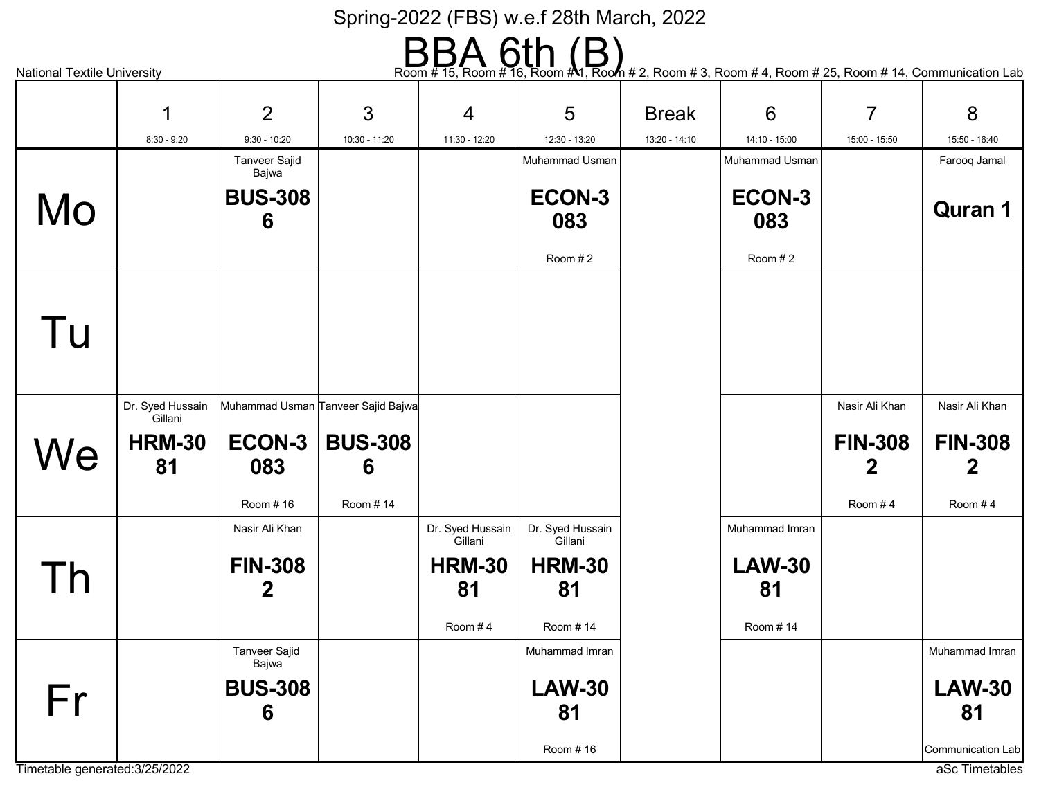# $\text{Room} \#\text{ 15, Room} \ \text{ from } \#\text{ 16, Room} \ \text{ from } \#\text{ 1, Room 4 2, Room 4 3, Room 4 4, Room 4 25, Room 4 14, Communication Lab.}$

|                                | 1                           | 2                    | 3                                  | $\overline{4}$              | 5                           | <b>Break</b>  | 6              | $\overline{7}$ | 8                 |
|--------------------------------|-----------------------------|----------------------|------------------------------------|-----------------------------|-----------------------------|---------------|----------------|----------------|-------------------|
|                                | $8:30 - 9:20$               | $9:30 - 10:20$       | 10:30 - 11:20                      | 11:30 - 12:20               | 12:30 - 13:20               | 13:20 - 14:10 | 14:10 - 15:00  | 15:00 - 15:50  | 15:50 - 16:40     |
|                                |                             | Tanveer Sajid        |                                    |                             | Muhammad Usman              |               | Muhammad Usman |                | Farooq Jamal      |
|                                |                             | Bajwa                |                                    |                             |                             |               |                |                |                   |
| Mo                             |                             | <b>BUS-308</b>       |                                    |                             | ECON-3                      |               | ECON-3         |                | <b>Quran 1</b>    |
|                                |                             | 6                    |                                    |                             | 083                         |               | 083            |                |                   |
|                                |                             |                      |                                    |                             | Room #2                     |               | Room #2        |                |                   |
|                                |                             |                      |                                    |                             |                             |               |                |                |                   |
|                                |                             |                      |                                    |                             |                             |               |                |                |                   |
| Tu                             |                             |                      |                                    |                             |                             |               |                |                |                   |
|                                |                             |                      |                                    |                             |                             |               |                |                |                   |
|                                | Dr. Syed Hussain<br>Gillani |                      | Muhammad Usman Tanveer Sajid Bajwa |                             |                             |               |                | Nasir Ali Khan | Nasir Ali Khan    |
|                                | <b>HRM-30</b>               | <b>ECON-3</b>        | <b>BUS-308</b>                     |                             |                             |               |                | <b>FIN-308</b> | <b>FIN-308</b>    |
| We                             | 81                          | 083                  | 6                                  |                             |                             |               |                | $\overline{2}$ | 2                 |
|                                |                             |                      |                                    |                             |                             |               |                |                |                   |
|                                |                             | Room #16             | Room #14                           |                             |                             |               |                | Room $#4$      | Room $#4$         |
|                                |                             | Nasir Ali Khan       |                                    | Dr. Syed Hussain<br>Gillani | Dr. Syed Hussain<br>Gillani |               | Muhammad Imran |                |                   |
|                                |                             | <b>FIN-308</b>       |                                    | <b>HRM-30</b>               | <b>HRM-30</b>               |               | <b>LAW-30</b>  |                |                   |
| $\mathsf{I}$                   |                             | 2                    |                                    | 81                          | 81                          |               | 81             |                |                   |
|                                |                             |                      |                                    | Room #4                     | Room #14                    |               | Room #14       |                |                   |
|                                |                             | <b>Tanveer Sajid</b> |                                    |                             | Muhammad Imran              |               |                |                | Muhammad Imran    |
|                                |                             | Bajwa                |                                    |                             |                             |               |                |                |                   |
| Fr                             |                             | <b>BUS-308</b>       |                                    |                             | <b>LAW-30</b>               |               |                |                | <b>LAW-30</b>     |
|                                |                             | 6                    |                                    |                             | 81                          |               |                |                | 81                |
|                                |                             |                      |                                    |                             | Room #16                    |               |                |                | Communication Lab |
| Timetable generated: 3/25/2022 |                             |                      |                                    |                             |                             |               |                |                | aSc Timetables    |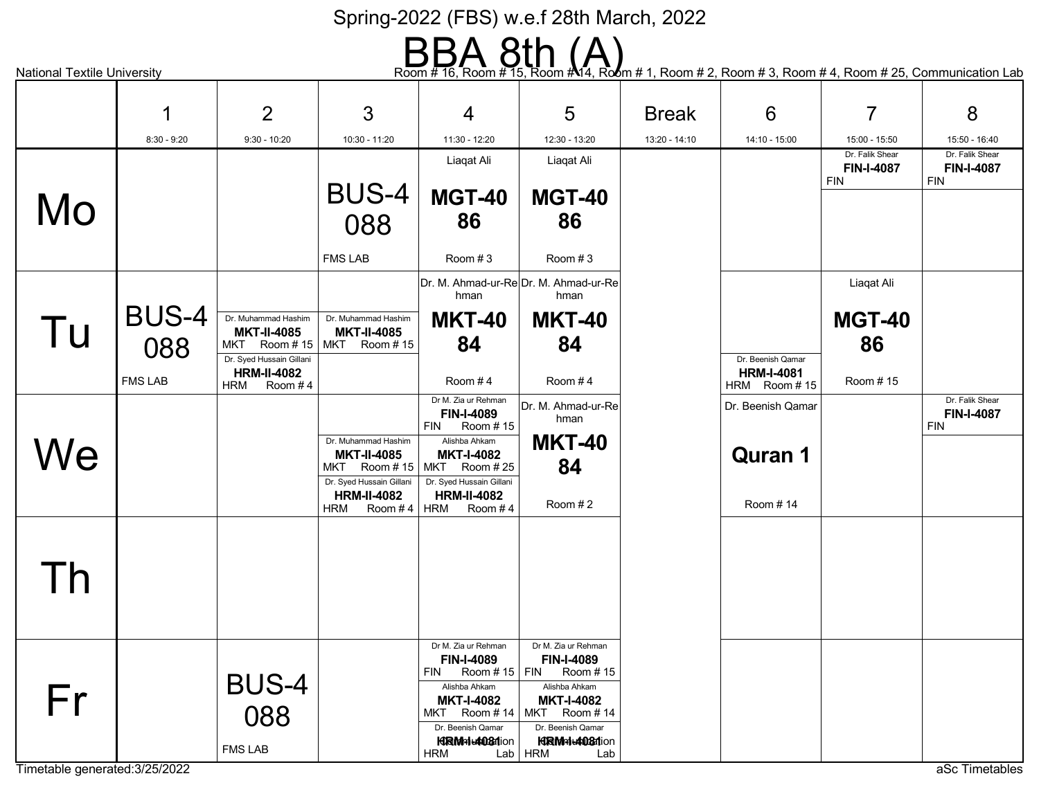# Room # 16, Room # 15, Room # 14, Room # 1, Room # 2, Room # 3, Room # 4, Room # 25, Communication Lab

|                                      |                                       | $\overline{2}$                                                                                                       | 3                                                                                                                             | 4                                                                                                                                                                                           | 5                                                                                                                                                                 | <b>Break</b>  | 6                                                      | $\overline{7}$                                     | 8                                                  |
|--------------------------------------|---------------------------------------|----------------------------------------------------------------------------------------------------------------------|-------------------------------------------------------------------------------------------------------------------------------|---------------------------------------------------------------------------------------------------------------------------------------------------------------------------------------------|-------------------------------------------------------------------------------------------------------------------------------------------------------------------|---------------|--------------------------------------------------------|----------------------------------------------------|----------------------------------------------------|
|                                      | $8:30 - 9:20$                         | $9:30 - 10:20$                                                                                                       | 10:30 - 11:20                                                                                                                 | 11:30 - 12:20                                                                                                                                                                               | 12:30 - 13:20                                                                                                                                                     | 13:20 - 14:10 | 14:10 - 15:00                                          | 15:00 - 15:50                                      | 15:50 - 16:40                                      |
| Mo                                   |                                       |                                                                                                                      | <b>BUS-4</b>                                                                                                                  | Liaqat Ali<br><b>MGT-40</b><br>86                                                                                                                                                           | Liaqat Ali<br><b>MGT-40</b><br>86                                                                                                                                 |               |                                                        | Dr. Falik Shear<br><b>FIN-I-4087</b><br><b>FIN</b> | Dr. Falik Shear<br><b>FIN-I-4087</b><br><b>FIN</b> |
|                                      |                                       |                                                                                                                      | 088<br><b>FMS LAB</b>                                                                                                         | Room #3                                                                                                                                                                                     | Room $#3$                                                                                                                                                         |               |                                                        |                                                    |                                                    |
| Tu                                   | <b>BUS-4</b><br>088<br><b>FMS LAB</b> | Dr. Muhammad Hashim<br><b>MKT-II-4085</b><br>Dr. Syed Hussain Gillani<br><b>HRM-II-4082</b><br><b>HRM</b><br>Room #4 | Dr. Muhammad Hashim<br><b>MKT-II-4085</b><br>MKT Room #15   MKT Room #15                                                      | hman<br><b>MKT-40</b><br>84<br>Room #4                                                                                                                                                      | Dr. M. Ahmad-ur-ReDr. M. Ahmad-ur-Re<br>hman<br><b>MKT-40</b><br>84<br>Room #4                                                                                    |               | Dr. Beenish Qamar<br><b>HRM-I-4081</b><br>HRM Room #15 | Liaqat Ali<br><b>MGT-40</b><br>86<br>Room #15      |                                                    |
| We                                   |                                       |                                                                                                                      | Dr. Muhammad Hashim<br><b>MKT-II-4085</b><br>MKT Room #15<br>Dr. Syed Hussain Gillani<br><b>HRM-II-4082</b><br>Room #4<br>HRM | Dr M. Zia ur Rehman<br>FIN-I-4089<br><b>FIN</b><br>Room #15<br>Alishba Ahkam<br><b>MKT-I-4082</b><br>Room # 25<br>MKT<br>Dr. Syed Hussain Gillani<br><b>HRM-II-4082</b><br>Room #4<br>HRM   | Dr. M. Ahmad-ur-Re<br>hman<br><b>MKT-40</b><br>84<br>Room #2                                                                                                      |               | Dr. Beenish Qamar<br><b>Quran 1</b><br>Room #14        |                                                    | Dr. Falik Shear<br><b>FIN-I-4087</b><br><b>FIN</b> |
| Гh                                   |                                       |                                                                                                                      |                                                                                                                               |                                                                                                                                                                                             |                                                                                                                                                                   |               |                                                        |                                                    |                                                    |
| Fr<br>Timetable generated: 3/25/2022 |                                       | <b>BUS-4</b><br>088<br><b>FMS LAB</b>                                                                                |                                                                                                                               | Dr M. Zia ur Rehman<br>FIN-I-4089<br><b>FIN</b><br>Room # 15   FIN<br>Alishba Ahkam<br><b>MKT-I-4082</b><br>MKT Room #14   MKT<br>Dr. Beenish Qamar<br><b>KRM</b> nic408flion<br><b>HRM</b> | Dr M. Zia ur Rehman<br>FIN-I-4089<br>Room #15<br>Alishba Ahkam<br><b>MKT-I-4082</b><br>Room #14<br>Dr. Beenish Qamar<br><b>HRM-1-4081</b> ion<br>$Lab$ HRM<br>Lab |               |                                                        |                                                    | aSc Timetables                                     |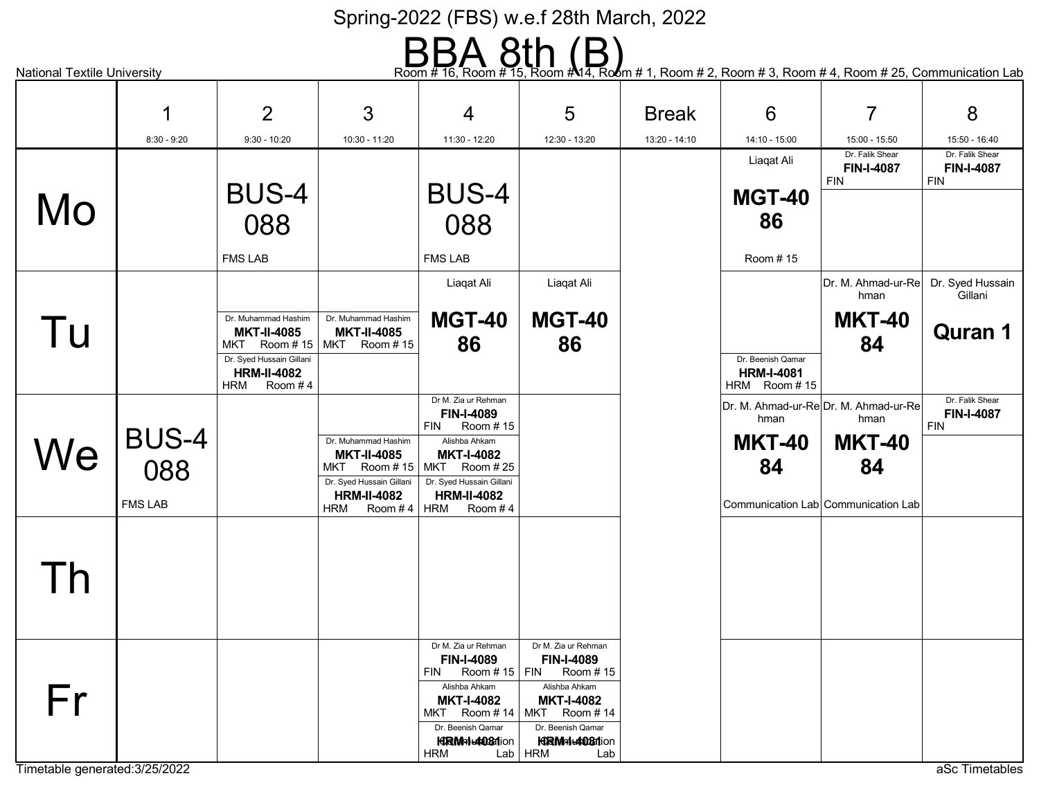# $\text{Radional Textile University} \longrightarrow \text{Row # 16, Room # 15, Room # 1, Room # 1, Room # 2, Room # 3, Room # 4, Room # 25, Communication Lab.}$

|                                | 1                   | $\overline{2}$                                                          | 3                                                                      | 4                                                                        | 5                                                            | <b>Break</b>  | $6\phantom{1}6$                                        | $\overline{7}$                               | 8                                           |
|--------------------------------|---------------------|-------------------------------------------------------------------------|------------------------------------------------------------------------|--------------------------------------------------------------------------|--------------------------------------------------------------|---------------|--------------------------------------------------------|----------------------------------------------|---------------------------------------------|
|                                | $8:30 - 9:20$       | $9:30 - 10:20$                                                          | 10:30 - 11:20                                                          | 11:30 - 12:20                                                            | 12:30 - 13:20                                                | 13:20 - 14:10 | 14:10 - 15:00                                          | 15:00 - 15:50                                | 15:50 - 16:40                               |
|                                |                     |                                                                         |                                                                        |                                                                          |                                                              |               | Liagat Ali                                             | Dr. Falik Shear<br>FIN-I-4087<br><b>FIN</b>  | Dr. Falik Shear<br>FIN-I-4087<br><b>FIN</b> |
| Mo                             |                     | <b>BUS-4</b><br>088                                                     |                                                                        | <b>BUS-4</b><br>088                                                      |                                                              |               | <b>MGT-40</b><br>86                                    |                                              |                                             |
|                                |                     | <b>FMS LAB</b>                                                          |                                                                        | <b>FMS LAB</b>                                                           |                                                              |               | Room #15                                               |                                              |                                             |
|                                |                     |                                                                         |                                                                        | Liaqat Ali                                                               | Liaqat Ali                                                   |               |                                                        | Dr. M. Ahmad-ur-Re<br>hman                   | Dr. Syed Hussain<br>Gillani                 |
| Tu                             |                     | Dr. Muhammad Hashim<br><b>MKT-II-4085</b><br>MKT Room #15               | Dr. Muhammad Hashim<br><b>MKT-II-4085</b><br>MKT Room #15              | <b>MGT-40</b><br>86                                                      | <b>MGT-40</b><br>86                                          |               |                                                        | <b>MKT-40</b><br>84                          | <b>Quran 1</b>                              |
|                                |                     | Dr. Syed Hussain Gillani<br><b>HRM-II-4082</b><br><b>HRM</b><br>Room #4 |                                                                        |                                                                          |                                                              |               | Dr. Beenish Qamar<br><b>HRM-I-4081</b><br>HRM Room #15 |                                              |                                             |
|                                |                     |                                                                         |                                                                        | Dr M. Zia ur Rehman<br>FIN-I-4089<br><b>FIN</b><br>Room #15              |                                                              |               | hman                                                   | Dr. M. Ahmad-ur-ReDr. M. Ahmad-ur-Re<br>hman | Dr. Falik Shear<br>FIN-I-4087<br><b>FIN</b> |
| We                             | <b>BUS-4</b><br>088 |                                                                         | Dr. Muhammad Hashim<br><b>MKT-II-4085</b><br>Room # 15   MKT<br>MKT    | Alishba Ahkam<br><b>MKT-I-4082</b><br>Room # 25                          |                                                              |               | <b>MKT-40</b><br>84                                    | <b>MKT-40</b><br>84                          |                                             |
|                                | <b>FMS LAB</b>      |                                                                         | Dr. Syed Hussain Gillani<br><b>HRM-II-4082</b><br>Room #4   HRM<br>HRM | Dr. Syed Hussain Gillani<br><b>HRM-II-4082</b><br>Room #4                |                                                              |               |                                                        | Communication Lab Communication Lab          |                                             |
|                                |                     |                                                                         |                                                                        |                                                                          |                                                              |               |                                                        |                                              |                                             |
| Гh                             |                     |                                                                         |                                                                        |                                                                          |                                                              |               |                                                        |                                              |                                             |
|                                |                     |                                                                         |                                                                        |                                                                          |                                                              |               |                                                        |                                              |                                             |
|                                |                     |                                                                         |                                                                        | Dr M. Zia ur Rehman<br><b>FIN-I-4089</b><br><b>FIN</b><br>Room #15   FIN | Dr M. Zia ur Rehman<br>FIN-I-4089<br>Room #15                |               |                                                        |                                              |                                             |
| Fr                             |                     |                                                                         |                                                                        | Alishba Ahkam<br><b>MKT-I-4082</b><br>MKT Room #14   MKT                 | Alishba Ahkam<br><b>MKT-I-4082</b><br>Room #14               |               |                                                        |                                              |                                             |
|                                |                     |                                                                         |                                                                        | Dr. Beenish Qamar<br><b>KRM</b> nic408flion<br>HRM                       | Dr. Beenish Qamar<br><b>HRMHL4081ion</b><br>$Lab$ HRM<br>Lab |               |                                                        |                                              |                                             |
| Timetable generated: 3/25/2022 |                     |                                                                         |                                                                        |                                                                          |                                                              |               |                                                        |                                              | aSc Timetables                              |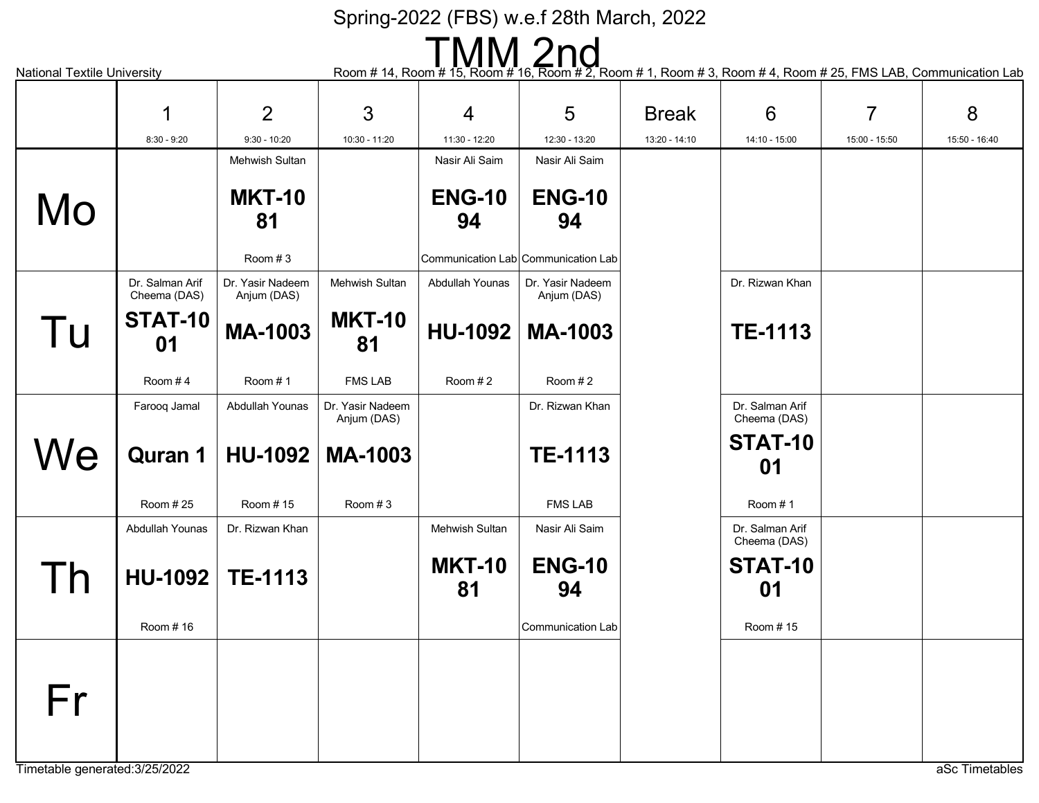National Textile University **Exercity** Room # 14, Room # 14, Room # 15, Room # 16, Room # 2, Room # 1, Room # 3, Room # 4, Room # 25, FMS LAB, Communication Lab

| $1.1$ and $1.01$ and $1.01$ and $1.01$ and $1.01$ |                                 |                                 |                                 |                       | $1$ (community it is a result in the second in Eq. ) (community it (community it (community Eq. ) and Eq. (community called |               |                                 |                |               |
|---------------------------------------------------|---------------------------------|---------------------------------|---------------------------------|-----------------------|-----------------------------------------------------------------------------------------------------------------------------|---------------|---------------------------------|----------------|---------------|
|                                                   | 1                               | 2                               | 3                               | $\overline{4}$        | 5                                                                                                                           | <b>Break</b>  | 6                               | $\overline{7}$ | 8             |
|                                                   | $8:30 - 9:20$                   | $9:30 - 10:20$                  | 10:30 - 11:20                   | 11:30 - 12:20         | 12:30 - 13:20                                                                                                               | 13:20 - 14:10 | 14:10 - 15:00                   | 15:00 - 15:50  | 15:50 - 16:40 |
|                                                   |                                 | <b>Mehwish Sultan</b>           |                                 | Nasir Ali Saim        | Nasir Ali Saim                                                                                                              |               |                                 |                |               |
|                                                   |                                 | <b>MKT-10</b>                   |                                 | <b>ENG-10</b>         | <b>ENG-10</b>                                                                                                               |               |                                 |                |               |
| Mo                                                |                                 | 81                              |                                 | 94                    | 94                                                                                                                          |               |                                 |                |               |
|                                                   |                                 |                                 |                                 |                       |                                                                                                                             |               |                                 |                |               |
|                                                   |                                 | Room #3                         |                                 |                       | Communication Lab Communication Lab                                                                                         |               |                                 |                |               |
|                                                   | Dr. Salman Arif<br>Cheema (DAS) | Dr. Yasir Nadeem<br>Anjum (DAS) | Mehwish Sultan                  | Abdullah Younas       | Dr. Yasir Nadeem<br>Anjum (DAS)                                                                                             |               | Dr. Rizwan Khan                 |                |               |
|                                                   | STAT-10                         |                                 | <b>MKT-10</b>                   |                       |                                                                                                                             |               |                                 |                |               |
| Tu                                                | 01                              | <b>MA-1003</b>                  | 81                              | <b>HU-1092</b>        | <b>MA-1003</b>                                                                                                              |               | <b>TE-1113</b>                  |                |               |
|                                                   |                                 |                                 |                                 |                       |                                                                                                                             |               |                                 |                |               |
|                                                   | Room #4                         | Room #1                         | <b>FMS LAB</b>                  | Room #2               | Room #2                                                                                                                     |               |                                 |                |               |
|                                                   | Farooq Jamal                    | Abdullah Younas                 | Dr. Yasir Nadeem<br>Anjum (DAS) |                       | Dr. Rizwan Khan                                                                                                             |               | Dr. Salman Arif<br>Cheema (DAS) |                |               |
|                                                   |                                 |                                 |                                 |                       |                                                                                                                             |               | <b>STAT-10</b>                  |                |               |
| We                                                | <b>Quran 1</b>                  | <b>HU-1092</b>                  | <b>MA-1003</b>                  |                       | <b>TE-1113</b>                                                                                                              |               | 01                              |                |               |
|                                                   | Room #25                        | Room #15                        | Room #3                         |                       | <b>FMS LAB</b>                                                                                                              |               | Room #1                         |                |               |
|                                                   | Abdullah Younas                 | Dr. Rizwan Khan                 |                                 | <b>Mehwish Sultan</b> | Nasir Ali Saim                                                                                                              |               | Dr. Salman Arif<br>Cheema (DAS) |                |               |
|                                                   |                                 |                                 |                                 | <b>MKT-10</b>         | <b>ENG-10</b>                                                                                                               |               | STAT-10                         |                |               |
|                                                   | HU-1092                         | <b>TE-1113</b>                  |                                 | 81                    | 94                                                                                                                          |               | 01                              |                |               |
|                                                   |                                 |                                 |                                 |                       |                                                                                                                             |               |                                 |                |               |
|                                                   | Room #16                        |                                 |                                 |                       | Communication Lab                                                                                                           |               | Room #15                        |                |               |
|                                                   |                                 |                                 |                                 |                       |                                                                                                                             |               |                                 |                |               |
|                                                   |                                 |                                 |                                 |                       |                                                                                                                             |               |                                 |                |               |
| Fr                                                |                                 |                                 |                                 |                       |                                                                                                                             |               |                                 |                |               |
|                                                   |                                 |                                 |                                 |                       |                                                                                                                             |               |                                 |                |               |
|                                                   |                                 |                                 |                                 |                       |                                                                                                                             |               |                                 |                |               |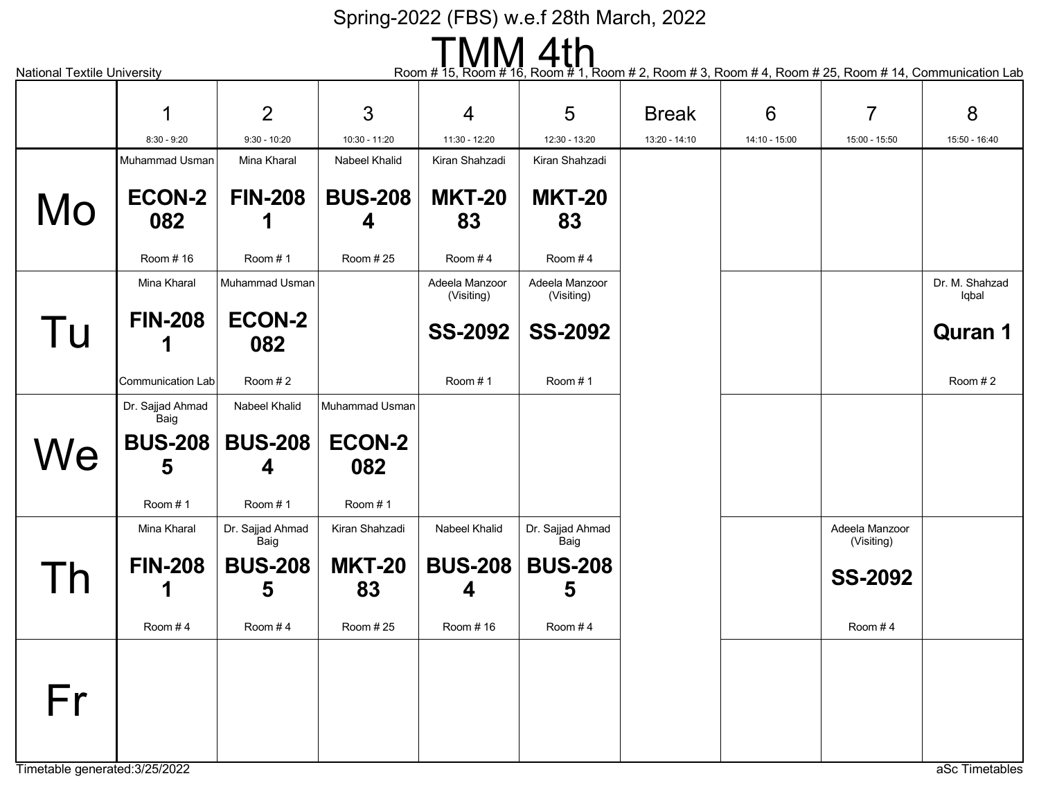| Room # 15, Room # 16, Room # 1, Room # 2, Room # 3, Room # 4, Room # 25, Room # 14, Communication Lab |                          |                          |                      |                              |                              |               |               |                              |                         |  |  |
|-------------------------------------------------------------------------------------------------------|--------------------------|--------------------------|----------------------|------------------------------|------------------------------|---------------|---------------|------------------------------|-------------------------|--|--|
| <b>National Textile University</b>                                                                    |                          |                          |                      |                              |                              |               |               |                              |                         |  |  |
|                                                                                                       | 1                        | 2                        | 3                    | 4                            | 5                            | <b>Break</b>  | 6             | 7                            | 8                       |  |  |
|                                                                                                       | $8:30 - 9:20$            | $9:30 - 10:20$           | 10:30 - 11:20        | 11:30 - 12:20                | 12:30 - 13:20                | 13:20 - 14:10 | 14:10 - 15:00 | 15:00 - 15:50                | 15:50 - 16:40           |  |  |
|                                                                                                       | Muhammad Usman           | Mina Kharal              | <b>Nabeel Khalid</b> | Kiran Shahzadi               | Kiran Shahzadi               |               |               |                              |                         |  |  |
| Mo                                                                                                    | <b>ECON-2</b><br>082     | <b>FIN-208</b>           | <b>BUS-208</b><br>4  | <b>MKT-20</b><br>83          | <b>MKT-20</b><br>83          |               |               |                              |                         |  |  |
|                                                                                                       | Room #16                 | Room #1                  | Room #25             | Room #4                      | Room $#4$                    |               |               |                              |                         |  |  |
|                                                                                                       | Mina Kharal              | Muhammad Usman           |                      | Adeela Manzoor<br>(Visiting) | Adeela Manzoor<br>(Visiting) |               |               |                              | Dr. M. Shahzad<br>Iqbal |  |  |
| Tu                                                                                                    | <b>FIN-208</b>           | <b>ECON-2</b><br>082     |                      | <b>SS-2092</b>               | <b>SS-2092</b>               |               |               |                              | <b>Quran 1</b>          |  |  |
|                                                                                                       | Communication Lab        | Room #2                  |                      | Room #1                      | Room $# 1$                   |               |               |                              | Room #2                 |  |  |
|                                                                                                       | Dr. Sajjad Ahmad<br>Baig | Nabeel Khalid            | Muhammad Usman       |                              |                              |               |               |                              |                         |  |  |
| We                                                                                                    | <b>BUS-208</b><br>5      | <b>BUS-208</b><br>4      | <b>ECON-2</b><br>082 |                              |                              |               |               |                              |                         |  |  |
|                                                                                                       | Room #1                  | Room #1                  | Room #1              |                              |                              |               |               |                              |                         |  |  |
|                                                                                                       | Mina Kharal              | Dr. Sajjad Ahmad<br>Baig | Kiran Shahzadi       | Nabeel Khalid                | Dr. Sajjad Ahmad<br>Baig     |               |               | Adeela Manzoor<br>(Visiting) |                         |  |  |
| Γh                                                                                                    | <b>FIN-208</b>           | <b>BUS-208</b><br>5      | <b>MKT-20</b><br>83  | <b>BUS-208</b><br>4          | <b>BUS-208</b><br>5          |               |               | <b>SS-2092</b>               |                         |  |  |
|                                                                                                       | Room #4                  | Room #4                  | Room # 25            | Room #16                     | Room #4                      |               |               | Room #4                      |                         |  |  |
| Fr                                                                                                    |                          |                          |                      |                              |                              |               |               |                              |                         |  |  |
| Timetable generated: 3/25/2022                                                                        |                          |                          |                      |                              |                              |               |               |                              | aSc Timetables          |  |  |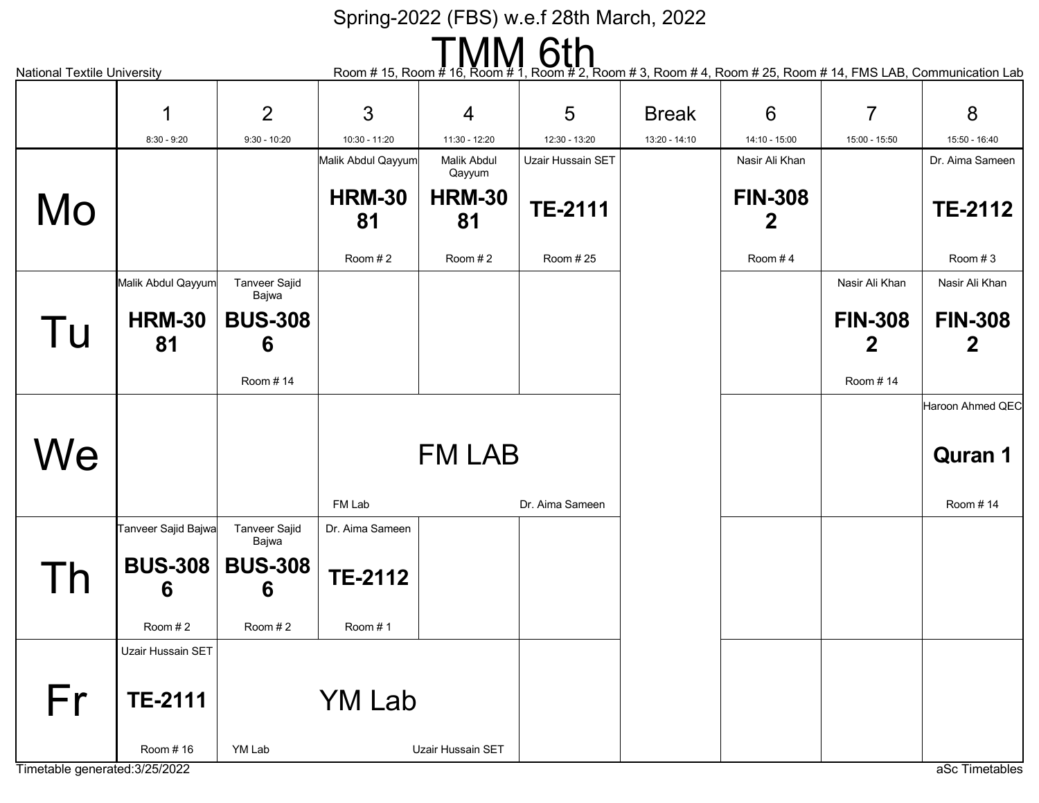| 6th<br>Room # 15, Room # 16, Room #<br>, Room # 2, Room # 3, Room # 4, Room # 25, Room # 14, FMS LAB, Communication Lab<br><b>National Textile University</b> |                     |                               |                     |                       |                   |               |                     |                     |                  |  |  |
|---------------------------------------------------------------------------------------------------------------------------------------------------------------|---------------------|-------------------------------|---------------------|-----------------------|-------------------|---------------|---------------------|---------------------|------------------|--|--|
|                                                                                                                                                               |                     |                               |                     |                       |                   |               |                     |                     |                  |  |  |
|                                                                                                                                                               | 1                   | $\overline{2}$                | 3                   | $\overline{4}$        | 5                 | <b>Break</b>  | $6\phantom{1}6$     | $\overline{7}$      | 8                |  |  |
|                                                                                                                                                               | $8:30 - 9:20$       | $9:30 - 10:20$                | 10:30 - 11:20       | 11:30 - 12:20         | 12:30 - 13:20     | 13:20 - 14:10 | 14:10 - 15:00       | 15:00 - 15:50       | 15:50 - 16:40    |  |  |
|                                                                                                                                                               |                     |                               | Malik Abdul Qayyum  | Malik Abdul<br>Qayyum | Uzair Hussain SET |               | Nasir Ali Khan      |                     | Dr. Aima Sameen  |  |  |
| Mo                                                                                                                                                            |                     |                               | <b>HRM-30</b><br>81 | <b>HRM-30</b><br>81   | <b>TE-2111</b>    |               | <b>FIN-308</b><br>2 |                     | <b>TE-2112</b>   |  |  |
|                                                                                                                                                               |                     |                               | Room $#2$           | Room #2               | Room #25          |               | Room #4             |                     | Room #3          |  |  |
|                                                                                                                                                               | Malik Abdul Qayyum  | <b>Tanveer Sajid</b><br>Bajwa |                     |                       |                   |               |                     | Nasir Ali Khan      | Nasir Ali Khan   |  |  |
| Tu                                                                                                                                                            | <b>HRM-30</b><br>81 | <b>BUS-308</b><br>6           |                     |                       |                   |               |                     | <b>FIN-308</b><br>2 | <b>FIN-308</b>   |  |  |
|                                                                                                                                                               |                     | Room #14                      |                     |                       |                   |               |                     | Room #14            |                  |  |  |
|                                                                                                                                                               |                     |                               |                     |                       |                   |               |                     |                     | Haroon Ahmed QEC |  |  |
| We                                                                                                                                                            |                     |                               |                     | <b>FM LAB</b>         |                   |               |                     |                     | <b>Quran 1</b>   |  |  |
|                                                                                                                                                               |                     |                               | FM Lab              |                       | Dr. Aima Sameen   |               |                     |                     | Room #14         |  |  |
|                                                                                                                                                               | Tanveer Sajid Bajwa | Tanveer Sajid<br>Bajwa        | Dr. Aima Sameen     |                       |                   |               |                     |                     |                  |  |  |
| I h                                                                                                                                                           | <b>BUS-308</b><br>6 | <b>BUS-308</b><br>6           | <b>TE-2112</b>      |                       |                   |               |                     |                     |                  |  |  |
|                                                                                                                                                               | Room #2             | Room #2                       | Room #1             |                       |                   |               |                     |                     |                  |  |  |
|                                                                                                                                                               | Uzair Hussain SET   |                               |                     |                       |                   |               |                     |                     |                  |  |  |
| Fr                                                                                                                                                            | <b>TE-2111</b>      |                               | <b>YM Lab</b>       |                       |                   |               |                     |                     |                  |  |  |
| Timetable generated: 3/25/2022                                                                                                                                | Room #16            | YM Lab                        |                     | Uzair Hussain SET     |                   |               |                     |                     | aSc Timetables   |  |  |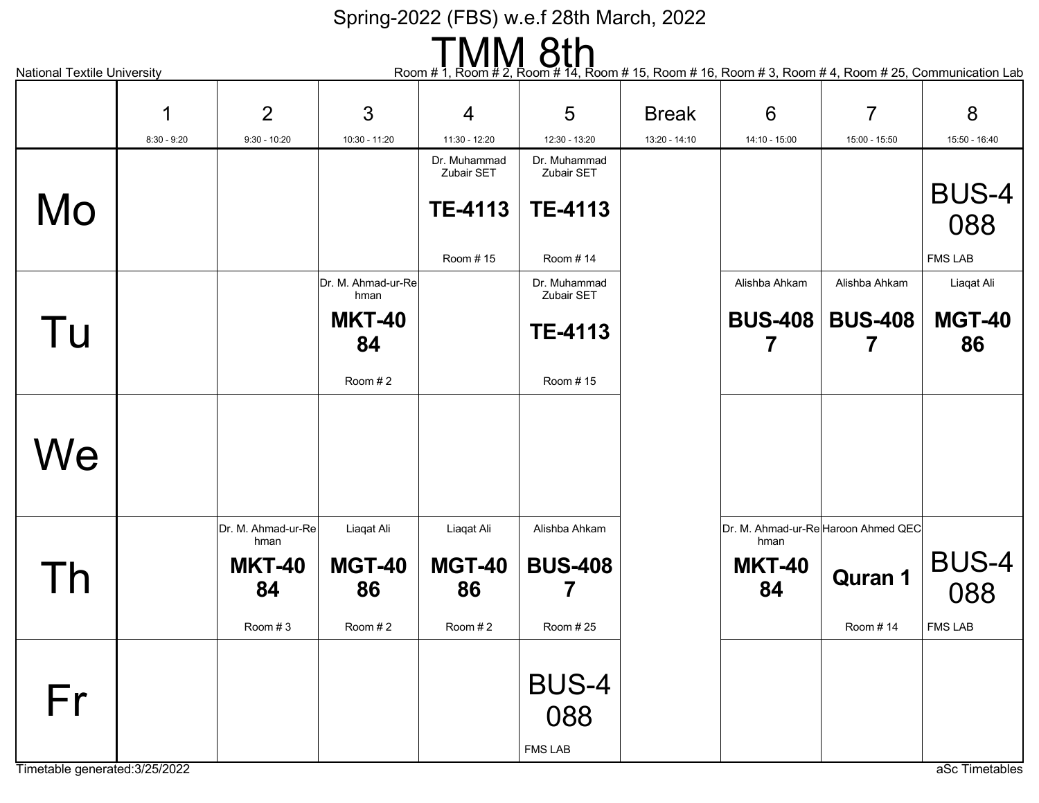# National Textile University **Report A Communication Lab**<br>Room # 1, Room # 14, Room # 14, Room # 15, Room # 16, Room # 3, Room # 4, Room # 25, Communication Lab

|                                | 1             | 2                          | 3                          | $\overline{4}$ | 5                                     | <b>Break</b>  | 6                                           | $\overline{7}$      | 8                   |
|--------------------------------|---------------|----------------------------|----------------------------|----------------|---------------------------------------|---------------|---------------------------------------------|---------------------|---------------------|
|                                | $8:30 - 9:20$ | $9:30 - 10:20$             | 10:30 - 11:20              | 11:30 - 12:20  | 12:30 - 13:20                         | 13:20 - 14:10 | 14:10 - 15:00                               | 15:00 - 15:50       | 15:50 - 16:40       |
|                                |               |                            |                            | Dr. Muhammad   | Dr. Muhammad                          |               |                                             |                     |                     |
|                                |               |                            |                            | Zubair SET     | Zubair SET                            |               |                                             |                     | <b>BUS-4</b>        |
| Mo                             |               |                            |                            | <b>TE-4113</b> | <b>TE-4113</b>                        |               |                                             |                     | 088                 |
|                                |               |                            |                            |                |                                       |               |                                             |                     |                     |
|                                |               |                            |                            | Room #15       | Room #14                              |               |                                             |                     | <b>FMS LAB</b>      |
|                                |               |                            | Dr. M. Ahmad-ur-Re<br>hman |                | Dr. Muhammad<br>Zubair SET            |               | Alishba Ahkam                               | Alishba Ahkam       | Liaqat Ali          |
| Tu                             |               |                            | <b>MKT-40</b><br>84        |                | <b>TE-4113</b>                        |               | <b>BUS-408</b><br>7                         | <b>BUS-408</b><br>7 | <b>MGT-40</b><br>86 |
|                                |               |                            | Room #2                    |                | Room #15                              |               |                                             |                     |                     |
| We                             |               |                            |                            |                |                                       |               |                                             |                     |                     |
|                                |               | Dr. M. Ahmad-ur-Re<br>hman | Liaqat Ali                 | Liaqat Ali     | Alishba Ahkam                         |               | Dr. M. Ahmad-ur-Re Haroon Ahmed QEC<br>hman |                     |                     |
|                                |               | <b>MKT-40</b>              | <b>MGT-40</b>              | <b>MGT-40</b>  | <b>BUS-408</b>                        |               | <b>MKT-40</b>                               |                     | BUS-4               |
| Th                             |               | 84                         | 86                         | 86             |                                       |               | 84                                          | <b>Quran 1</b>      | 088                 |
|                                |               | Room #3                    | Room #2                    | Room #2        | Room # 25                             |               |                                             | Room #14            | <b>FMS LAB</b>      |
| Fr                             |               |                            |                            |                | <b>BUS-4</b><br>088<br><b>FMS LAB</b> |               |                                             |                     |                     |
| Timetable generated: 3/25/2022 |               |                            |                            |                |                                       |               |                                             |                     | aSc Timetables      |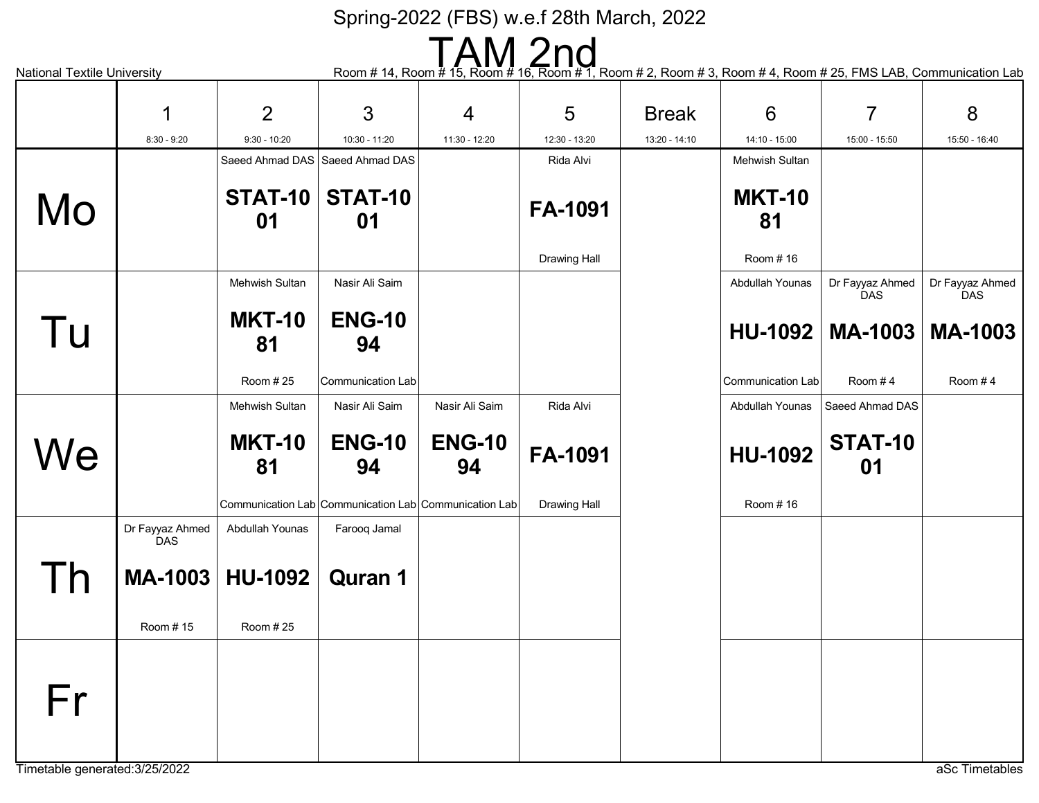National Textile University **Exercity** Room # 14, Room # 14, Room # 15, Room # 16, Room # 2, Room # 2, Room # 3, Room # 4, Room # 25, FMS LAB, Communication Lab

|                                      | 1                             | 2                   | 3                                                     | $\overline{4}$      | 5                   | <b>Break</b>  | 6                        | $\overline{7}$         | 8                             |
|--------------------------------------|-------------------------------|---------------------|-------------------------------------------------------|---------------------|---------------------|---------------|--------------------------|------------------------|-------------------------------|
|                                      | $8:30 - 9:20$                 | $9:30 - 10:20$      | 10:30 - 11:20                                         | 11:30 - 12:20       | 12:30 - 13:20       | 13:20 - 14:10 | 14:10 - 15:00            | 15:00 - 15:50          | 15:50 - 16:40                 |
|                                      |                               |                     | Saeed Ahmad DAS Saeed Ahmad DAS                       |                     | Rida Alvi           |               | <b>Mehwish Sultan</b>    |                        |                               |
| Mo                                   |                               | STAT-10<br>01       | STAT-10<br>01                                         |                     | FA-1091             |               | <b>MKT-10</b><br>81      |                        |                               |
|                                      |                               |                     |                                                       |                     | <b>Drawing Hall</b> |               | Room #16                 |                        |                               |
|                                      |                               | Mehwish Sultan      | Nasir Ali Saim                                        |                     |                     |               | Abdullah Younas          | Dr Fayyaz Ahmed<br>DAS | Dr Fayyaz Ahmed<br><b>DAS</b> |
| Tu                                   |                               | <b>MKT-10</b><br>81 | <b>ENG-10</b><br>94                                   |                     |                     |               | HU-1092                  | <b>MA-1003</b>         | <b>MA-1003</b>                |
|                                      |                               | Room #25            | Communication Lab                                     |                     |                     |               | <b>Communication Lab</b> | Room $#4$              | Room $#4$                     |
|                                      |                               | Mehwish Sultan      | Nasir Ali Saim                                        | Nasir Ali Saim      | Rida Alvi           |               | Abdullah Younas          | Saeed Ahmad DAS        |                               |
| We                                   |                               | <b>MKT-10</b><br>81 | <b>ENG-10</b><br>94                                   | <b>ENG-10</b><br>94 | FA-1091             |               | <b>HU-1092</b>           | <b>STAT-10</b><br>01   |                               |
|                                      |                               |                     | Communication Lab Communication Lab Communication Lab |                     | <b>Drawing Hall</b> |               | Room #16                 |                        |                               |
|                                      | Dr Fayyaz Ahmed<br><b>DAS</b> | Abdullah Younas     | Farooq Jamal                                          |                     |                     |               |                          |                        |                               |
| $\mathsf{I}$                         | MA-1003                       | <b>HU-1092</b>      | <b>Quran 1</b>                                        |                     |                     |               |                          |                        |                               |
|                                      | Room #15                      | Room #25            |                                                       |                     |                     |               |                          |                        |                               |
| Fr<br>Timetable generated: 3/25/2022 |                               |                     |                                                       |                     |                     |               |                          |                        | aSc Timetables                |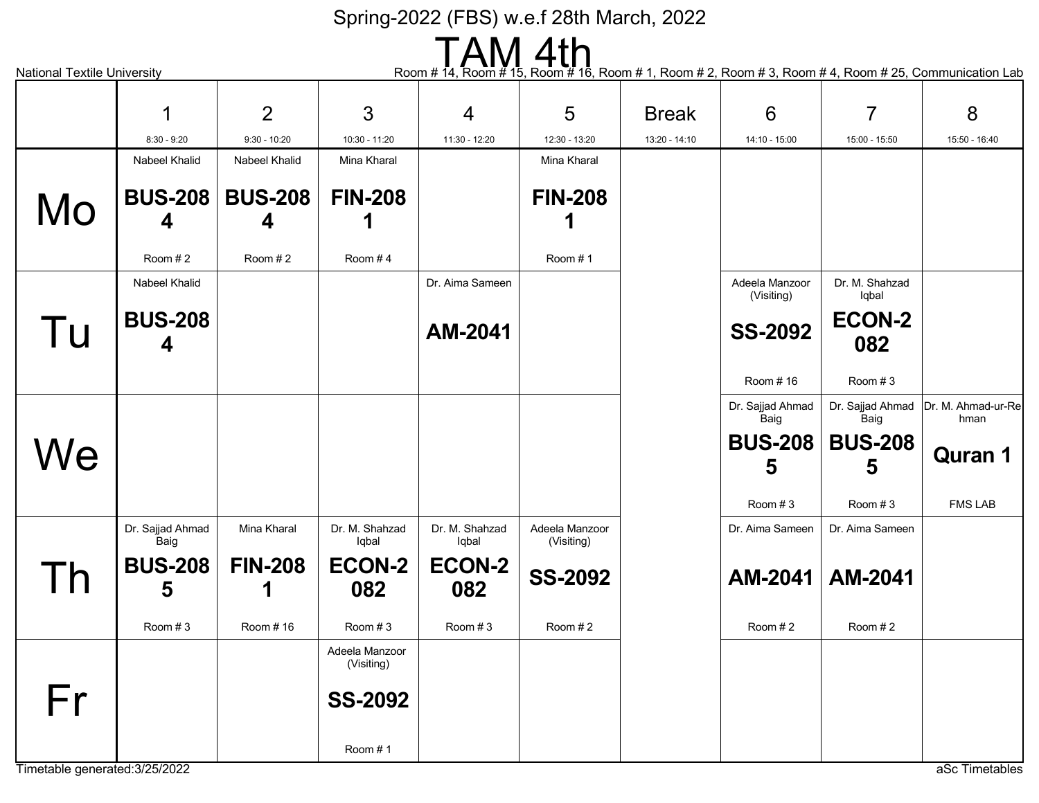| TAM 4th<br>Room # 14, Room # 15,<br>Room # 16, Room # 1, Room # 2, Room # 3, Room # 4, Room # 25, Communication Lab<br><b>National Textile University</b> |                          |                     |                              |                         |                              |               |                              |                          |                            |  |
|-----------------------------------------------------------------------------------------------------------------------------------------------------------|--------------------------|---------------------|------------------------------|-------------------------|------------------------------|---------------|------------------------------|--------------------------|----------------------------|--|
|                                                                                                                                                           |                          | 2                   | 3                            | 4                       | 5                            | <b>Break</b>  | 6                            | $\overline{7}$           | 8                          |  |
|                                                                                                                                                           | $8:30 - 9:20$            | $9:30 - 10:20$      | 10:30 - 11:20                | 11:30 - 12:20           | 12:30 - 13:20                | 13:20 - 14:10 | 14:10 - 15:00                | 15:00 - 15:50            | 15:50 - 16:40              |  |
|                                                                                                                                                           | Nabeel Khalid            | Nabeel Khalid       | Mina Kharal                  |                         | Mina Kharal                  |               |                              |                          |                            |  |
| Mo                                                                                                                                                        | <b>BUS-208</b><br>4      | <b>BUS-208</b><br>4 | <b>FIN-208</b>               |                         | <b>FIN-208</b>               |               |                              |                          |                            |  |
|                                                                                                                                                           | Room #2                  | Room $#2$           | Room #4                      |                         | Room #1                      |               |                              |                          |                            |  |
|                                                                                                                                                           | Nabeel Khalid            |                     |                              | Dr. Aima Sameen         |                              |               | Adeela Manzoor<br>(Visiting) | Dr. M. Shahzad<br>Iqbal  |                            |  |
| Tu                                                                                                                                                        | <b>BUS-208</b><br>4      |                     |                              | AM-2041                 |                              |               | <b>SS-2092</b>               | <b>ECON-2</b><br>082     |                            |  |
|                                                                                                                                                           |                          |                     |                              |                         |                              |               | Room #16                     | Room $#3$                |                            |  |
|                                                                                                                                                           |                          |                     |                              |                         |                              |               | Dr. Sajjad Ahmad<br>Baig     | Dr. Sajjad Ahmad<br>Baig | Dr. M. Ahmad-ur-Re<br>hman |  |
| We                                                                                                                                                        |                          |                     |                              |                         |                              |               | <b>BUS-208</b><br>5          | <b>BUS-208</b><br>5      | <b>Quran 1</b>             |  |
|                                                                                                                                                           |                          |                     |                              |                         |                              |               | Room $#3$                    | Room $#3$                | <b>FMS LAB</b>             |  |
|                                                                                                                                                           | Dr. Sajjad Ahmad<br>Baig | Mina Kharal         | Dr. M. Shahzad<br>Iqbal      | Dr. M. Shahzad<br>Iqbal | Adeela Manzoor<br>(Visiting) |               | Dr. Aima Sameen              | Dr. Aima Sameen          |                            |  |
|                                                                                                                                                           | <b>BUS-208</b><br>5      | <b>FIN-208</b>      | <b>ECON-2</b><br>082         | <b>ECON-2</b><br>082    | <b>SS-2092</b>               |               | AM-2041                      | AM-2041                  |                            |  |
|                                                                                                                                                           | Room #3                  | Room #16            | Room #3                      | Room #3                 | Room #2                      |               | Room #2                      | Room #2                  |                            |  |
|                                                                                                                                                           |                          |                     | Adeela Manzoor<br>(Visiting) |                         |                              |               |                              |                          |                            |  |
| Fr                                                                                                                                                        |                          |                     | <b>SS-2092</b>               |                         |                              |               |                              |                          |                            |  |
| Timetable generated: 3/25/2022                                                                                                                            |                          |                     | Room #1                      |                         |                              |               |                              |                          | aSc Timetables             |  |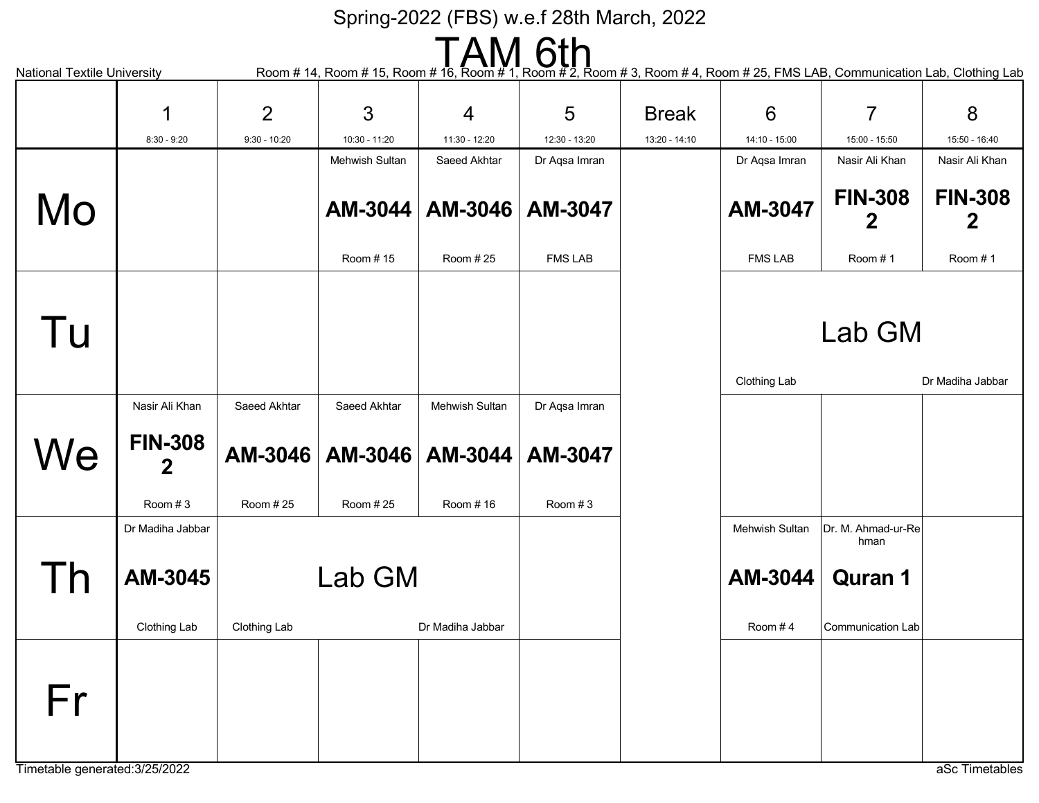National Textile University **Room # 14, Room # 15, Room # 16, Room # 1, Room # 2, Room # 3, Room # 4, Room # 25, FMS LAB, Communication Lab, Clothing Lab** AM-3044 Mehwish Sultan Room # 15 AM-3046 AM-3047 Saeed Akhtar Room # 25 Dr Aqsa Imran FMS LAB FIN-308 2 Nasir Ali Khan Room # 1 FIN-308 2 Nasir Ali Khan Room # 1 AM-3047 Dr Aqsa Imran FMS LAB Lab GM Clothing Lab **Dr Madiha Jabbar** AM-3044 AM-3047 Mehwish Sultan Room # 16 FIN-308 2 Nasir Ali Khan Room # 3 AM-3046 AM-3046 Saeed Akhtar Room # 25 Saeed Akhtar Room # 25 Dr Aqsa Imran Room # 3 AM-3045 Dr Madiha Jabbar Clothing Lab Lab GM Clothing Lab Dr Madiha Jabbar AM-3044 Mehwish Sultan Room # 4 Quran 1 Dr. M. Ahmad-ur-Re hman Communication Lab Mo Tu **We** Th Fr 1 8:30 - 9:20 2 9:30 - 10:20 3 10:30 - 11:20 4 11:30 - 12:20 5 12:30 - 13:20 Break 13:20 - 14:10 6 14:10 - 15:00 7 15:00 - 15:50 8 15:50 - 16:40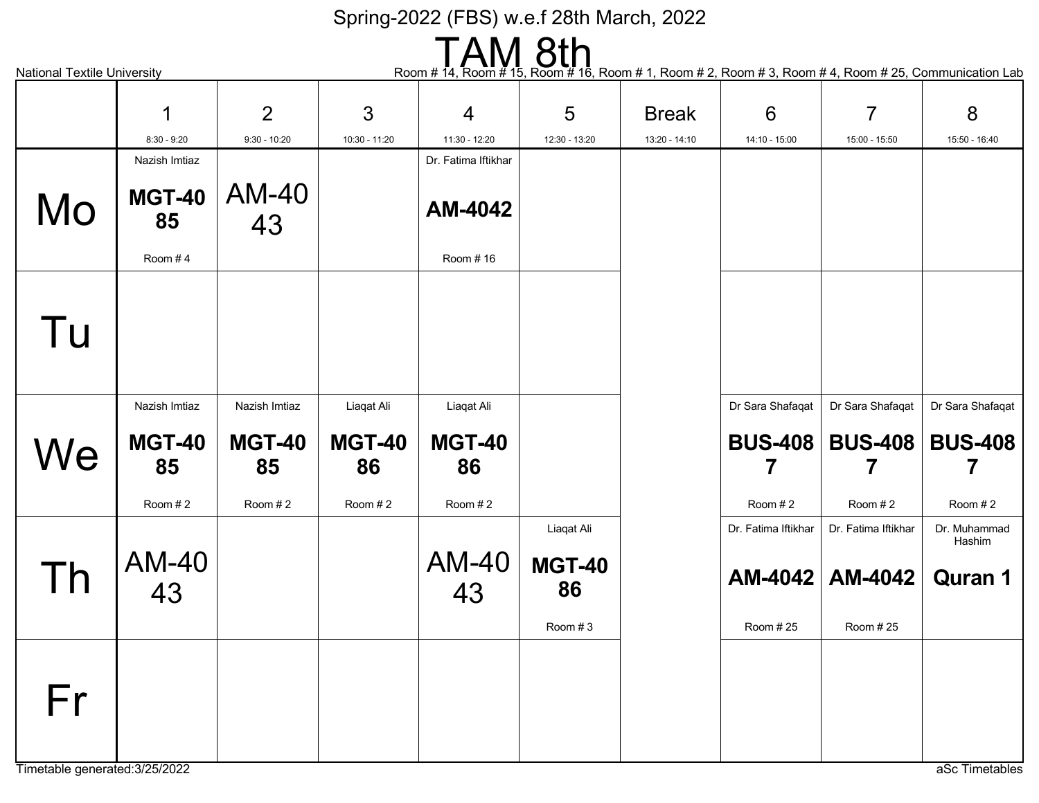| <b>8th</b><br>Room $# 14$ ,<br>Room # 16, Room # 1, Room # 2, Room # 3, Room # 4, Room # 25, Communication Lab |                     |                     |                     |                     |                     |               |                     |                          |                        |  |
|----------------------------------------------------------------------------------------------------------------|---------------------|---------------------|---------------------|---------------------|---------------------|---------------|---------------------|--------------------------|------------------------|--|
| <b>National Textile University</b>                                                                             |                     |                     |                     |                     |                     |               |                     |                          |                        |  |
|                                                                                                                | 1                   | 2                   | 3                   | $\overline{4}$      | 5                   | <b>Break</b>  | $6\phantom{1}6$     | $\overline{7}$           | 8                      |  |
|                                                                                                                | $8:30 - 9:20$       | $9:30 - 10:20$      | 10:30 - 11:20       | 11:30 - 12:20       | 12:30 - 13:20       | 13:20 - 14:10 | 14:10 - 15:00       | 15:00 - 15:50            | 15:50 - 16:40          |  |
|                                                                                                                | Nazish Imtiaz       |                     |                     | Dr. Fatima Iftikhar |                     |               |                     |                          |                        |  |
| Mo                                                                                                             | <b>MGT-40</b><br>85 | <b>AM-40</b><br>43  |                     | AM-4042             |                     |               |                     |                          |                        |  |
|                                                                                                                | Room #4             |                     |                     | Room #16            |                     |               |                     |                          |                        |  |
| Tu                                                                                                             |                     |                     |                     |                     |                     |               |                     |                          |                        |  |
|                                                                                                                | Nazish Imtiaz       | Nazish Imtiaz       | Liaqat Ali          | Liaqat Ali          |                     |               | Dr Sara Shafaqat    | Dr Sara Shafaqat         | Dr Sara Shafaqat       |  |
| We                                                                                                             | <b>MGT-40</b><br>85 | <b>MGT-40</b><br>85 | <b>MGT-40</b><br>86 | <b>MGT-40</b><br>86 |                     |               |                     | <b>BUS-408   BUS-408</b> | <b>BUS-408</b>         |  |
|                                                                                                                | Room #2             | Room #2             | Room #2             | Room #2             |                     |               | Room #2             | Room #2                  | Room #2                |  |
|                                                                                                                |                     |                     |                     |                     | Liaqat Ali          |               | Dr. Fatima Iftikhar | Dr. Fatima Iftikhar      | Dr. Muhammad<br>Hashim |  |
| Γh                                                                                                             | AM-40<br>43         |                     |                     | <b>AM-40</b><br>43  | <b>MGT-40</b><br>86 |               |                     | AM-4042   AM-4042        | <b>Quran 1</b>         |  |
|                                                                                                                |                     |                     |                     |                     | Room #3             |               | Room # 25           | Room # 25                |                        |  |
| Fr<br>Timetable generated: 3/25/2022                                                                           |                     |                     |                     |                     |                     |               |                     |                          | aSc Timetables         |  |